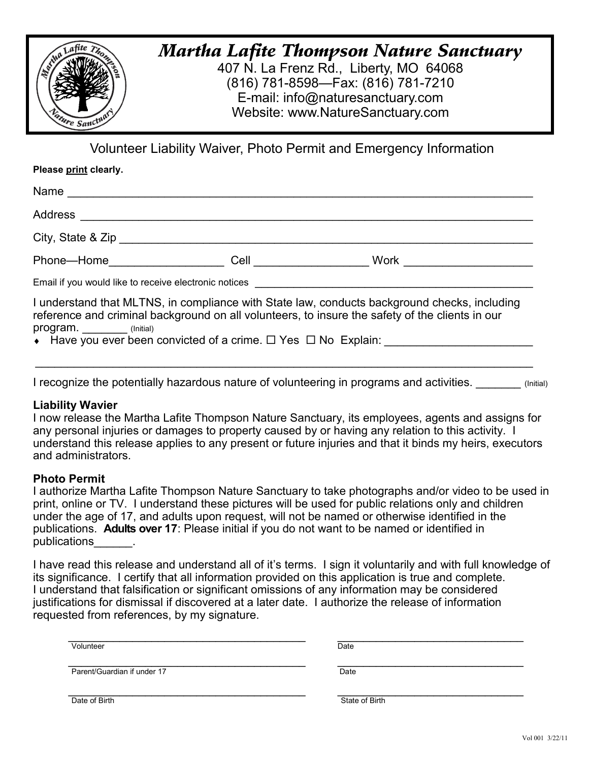

# *Martha Lafite Thompson Nature Sanctuary*

407 N. La Frenz Rd., Liberty, MO 64068 (816) 781-8598—Fax: (816) 781-7210 E-mail: info@naturesanctuary.com Website: www.NatureSanctuary.com

Volunteer Liability Waiver, Photo Permit and Emergency Information

**Please print clearly.**

| Name                                                  |                       |                                                                                                                                                                                                                                                                                                                     |  |
|-------------------------------------------------------|-----------------------|---------------------------------------------------------------------------------------------------------------------------------------------------------------------------------------------------------------------------------------------------------------------------------------------------------------------|--|
| Address _______________________                       |                       |                                                                                                                                                                                                                                                                                                                     |  |
|                                                       |                       |                                                                                                                                                                                                                                                                                                                     |  |
| Phone—Home <b>Example 2019</b>                        | Cell ________________ | Work <u>_______________</u>                                                                                                                                                                                                                                                                                         |  |
| Email if you would like to receive electronic notices |                       |                                                                                                                                                                                                                                                                                                                     |  |
|                                                       |                       | I understand that MLTNS, in compliance with State law, conducts background checks, including<br>reference and criminal background on all volunteers, to insure the safety of the clients in our<br>program. ________ (lnitial)<br>◆ Have you ever been convicted of a crime. ロ Yes ロ No Explain: __________________ |  |

I recognize the potentially hazardous nature of volunteering in programs and activities.

 $\_$  , and the contribution of the contribution of the contribution of the contribution of  $\mathcal{L}_\text{max}$ 

## **Liability Wavier**

I now release the Martha Lafite Thompson Nature Sanctuary, its employees, agents and assigns for any personal injuries or damages to property caused by or having any relation to this activity. I understand this release applies to any present or future injuries and that it binds my heirs, executors and administrators.

## **Photo Permit**

I authorize Martha Lafite Thompson Nature Sanctuary to take photographs and/or video to be used in print, online or TV. I understand these pictures will be used for public relations only and children under the age of 17, and adults upon request, will not be named or otherwise identified in the publications. **Adults over 17**: Please initial if you do not want to be named or identified in publications  $\qquad \qquad$ 

I have read this release and understand all of it's terms. I sign it voluntarily and with full knowledge of its significance. I certify that all information provided on this application is true and complete. I understand that falsification or significant omissions of any information may be considered justifications for dismissal if discovered at a later date. I authorize the release of information requested from references, by my signature.

| Date |
|------|
|      |

Date of Birth State of Birth State of Birth State of Birth State of Birth State of Birth State of Birth State of Birth State of Birth State of Birth State of Birth State of Birth State of Birth State of Birth State of Birt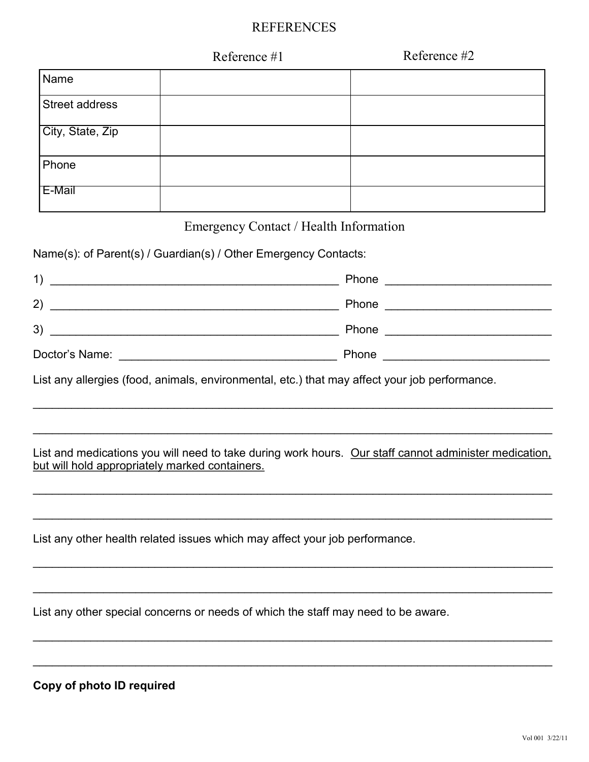## REFERENCES

|                  | Reference #1 | Reference #2 |
|------------------|--------------|--------------|
| Name             |              |              |
| Street address   |              |              |
| City, State, Zip |              |              |
| Phone            |              |              |
| E-Mail           |              |              |

## Emergency Contact / Health Information

Name(s): of Parent(s) / Guardian(s) / Other Emergency Contacts:

| 1)             | Phone |
|----------------|-------|
| 2)             | Phone |
| 3)             | Phone |
| Doctor's Name: | Phone |

List any allergies (food, animals, environmental, etc.) that may affect your job performance.

## List and medications you will need to take during work hours. Our staff cannot administer medication, but will hold appropriately marked containers.

\_\_\_\_\_\_\_\_\_\_\_\_\_\_\_\_\_\_\_\_\_\_\_\_\_\_\_\_\_\_\_\_\_\_\_\_\_\_\_\_\_\_\_\_\_\_\_\_\_\_\_\_\_\_\_\_\_\_\_\_\_\_\_\_\_\_\_\_\_\_\_\_\_\_\_\_\_\_\_\_\_

 $\mathcal{L}_\mathcal{L} = \mathcal{L}_\mathcal{L} = \mathcal{L}_\mathcal{L} = \mathcal{L}_\mathcal{L} = \mathcal{L}_\mathcal{L} = \mathcal{L}_\mathcal{L} = \mathcal{L}_\mathcal{L} = \mathcal{L}_\mathcal{L} = \mathcal{L}_\mathcal{L} = \mathcal{L}_\mathcal{L} = \mathcal{L}_\mathcal{L} = \mathcal{L}_\mathcal{L} = \mathcal{L}_\mathcal{L} = \mathcal{L}_\mathcal{L} = \mathcal{L}_\mathcal{L} = \mathcal{L}_\mathcal{L} = \mathcal{L}_\mathcal{L}$ 

\_\_\_\_\_\_\_\_\_\_\_\_\_\_\_\_\_\_\_\_\_\_\_\_\_\_\_\_\_\_\_\_\_\_\_\_\_\_\_\_\_\_\_\_\_\_\_\_\_\_\_\_\_\_\_\_\_\_\_\_\_\_\_\_\_\_\_\_\_\_\_\_\_\_\_\_\_\_\_\_\_

\_\_\_\_\_\_\_\_\_\_\_\_\_\_\_\_\_\_\_\_\_\_\_\_\_\_\_\_\_\_\_\_\_\_\_\_\_\_\_\_\_\_\_\_\_\_\_\_\_\_\_\_\_\_\_\_\_\_\_\_\_\_\_\_\_\_\_\_\_\_\_\_\_\_\_\_\_\_\_\_\_

\_\_\_\_\_\_\_\_\_\_\_\_\_\_\_\_\_\_\_\_\_\_\_\_\_\_\_\_\_\_\_\_\_\_\_\_\_\_\_\_\_\_\_\_\_\_\_\_\_\_\_\_\_\_\_\_\_\_\_\_\_\_\_\_\_\_\_\_\_\_\_\_\_\_\_\_\_\_\_\_\_

\_\_\_\_\_\_\_\_\_\_\_\_\_\_\_\_\_\_\_\_\_\_\_\_\_\_\_\_\_\_\_\_\_\_\_\_\_\_\_\_\_\_\_\_\_\_\_\_\_\_\_\_\_\_\_\_\_\_\_\_\_\_\_\_\_\_\_\_\_\_\_\_\_\_\_\_\_\_\_\_\_

\_\_\_\_\_\_\_\_\_\_\_\_\_\_\_\_\_\_\_\_\_\_\_\_\_\_\_\_\_\_\_\_\_\_\_\_\_\_\_\_\_\_\_\_\_\_\_\_\_\_\_\_\_\_\_\_\_\_\_\_\_\_\_\_\_\_\_\_\_\_\_\_\_\_\_\_\_\_\_\_\_

\_\_\_\_\_\_\_\_\_\_\_\_\_\_\_\_\_\_\_\_\_\_\_\_\_\_\_\_\_\_\_\_\_\_\_\_\_\_\_\_\_\_\_\_\_\_\_\_\_\_\_\_\_\_\_\_\_\_\_\_\_\_\_\_\_\_\_\_\_\_\_\_\_\_\_\_\_\_\_\_\_

List any other health related issues which may affect your job performance.

List any other special concerns or needs of which the staff may need to be aware.

**Copy of photo ID required**